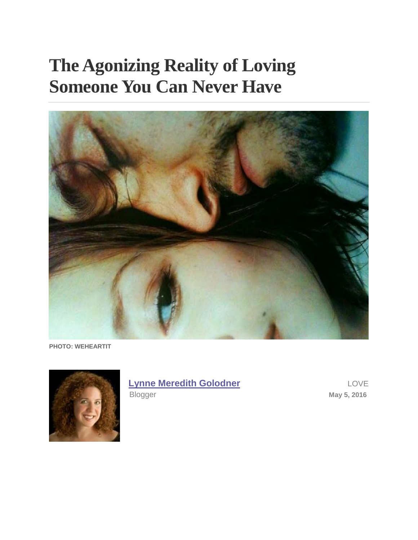# **The Agonizing Reality of Loving Someone You Can Never Have**



**PHOTO: WEHEARTIT**



## **[Lynne Meredith Golodner](http://www.yourtango.com/users/lynne-meredith-golodner)** LOVE

Blogger May 5, 2016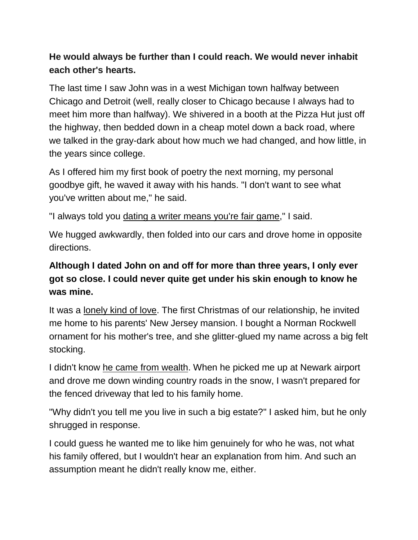#### **He would always be further than I could reach. We would never inhabit each other's hearts.**

The last time I saw John was in a west Michigan town halfway between Chicago and Detroit (well, really closer to Chicago because I always had to meet him more than halfway). We shivered in a booth at the Pizza Hut just off the highway, then bedded down in a cheap motel down a back road, where we talked in the gray-dark about how much we had changed, and how little, in the years since college.

As I offered him my first book of poetry the next morning, my personal goodbye gift, he waved it away with his hands. "I don't want to see what you've written about me," he said.

"I always told you [dating a writer means you're fair game,](http://www.yourtango.com/2016285876/20-brutal-truths-about-dating-writer)" I said.

We hugged awkwardly, then folded into our cars and drove home in opposite directions.

#### **Although I dated John on and off for more than three years, I only ever got so close. I could never quite get under his skin enough to know he was mine.**

It was a [lonely kind of love.](http://www.yourtango.com/love) The first Christmas of our relationship, he invited me home to his parents' New Jersey mansion. I bought a Norman Rockwell ornament for his mother's tree, and she glitter-glued my name across a big felt stocking.

I didn't know [he came from wealth.](http://madamenoire.com/472498/dating-a-rich-guy/) When he picked me up at Newark airport and drove me down winding country roads in the snow, I wasn't prepared for the fenced driveway that led to his family home.

"Why didn't you tell me you live in such a big estate?" I asked him, but he only shrugged in response.

I could guess he wanted me to like him genuinely for who he was, not what his family offered, but I wouldn't hear an explanation from him. And such an assumption meant he didn't really know me, either.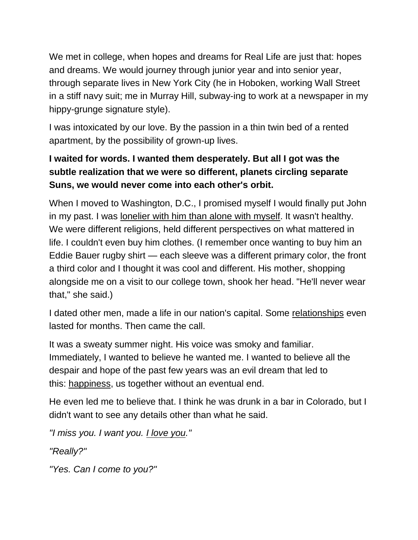We met in college, when hopes and dreams for Real Life are just that: hopes and dreams. We would journey through junior year and into senior year, through separate lives in New York City (he in Hoboken, working Wall Street in a stiff navy suit; me in Murray Hill, subway-ing to work at a newspaper in my hippy-grunge signature style).

I was intoxicated by our love. By the passion in a thin twin bed of a rented apartment, by the possibility of grown-up lives.

### **I waited for words. I wanted them desperately. But all I got was the subtle realization that we were so different, planets circling separate Suns, we would never come into each other's orbit.**

When I moved to Washington, D.C., I promised myself I would finally put John in my past. I was [lonelier with him than alone with myself.](http://goodmenproject.com/featured-content/tlh-when-a-relationship-is-lonelier-than-being-alone/) It wasn't healthy. We were different religions, held different perspectives on what mattered in life. I couldn't even buy him clothes. (I remember once wanting to buy him an Eddie Bauer rugby shirt — each sleeve was a different primary color, the front a third color and I thought it was cool and different. His mother, shopping alongside me on a visit to our college town, shook her head. "He'll never wear that," she said.)

I dated other men, made a life in our nation's capital. Some [relationships](http://www.yourtango.com/relationships) even lasted for months. Then came the call.

It was a sweaty summer night. His voice was smoky and familiar. Immediately, I wanted to believe he wanted me. I wanted to believe all the despair and hope of the past few years was an evil dream that led to this: [happiness,](http://www.yourtango.com/experts/isabelschwab/do-you-have-what-it-takes-to-be-happy) us together without an eventual end.

He even led me to believe that. I think he was drunk in a bar in Colorado, but I didn't want to see any details other than what he said.

*"I miss you. I want you. [I love you.](http://www.yourtango.com/2013177056/actions-mean-i-love-you)"*

*"Really?"*

*"Yes. Can I come to you?"*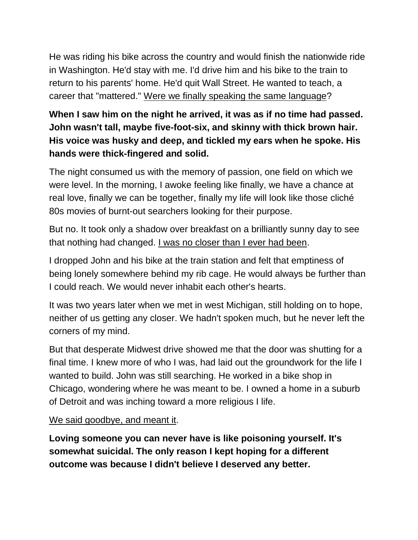He was riding his bike across the country and would finish the nationwide ride in Washington. He'd stay with me. I'd drive him and his bike to the train to return to his parents' home. He'd quit Wall Street. He wanted to teach, a career that "mattered." [Were we finally speaking the same language?](http://goodmenproject.com/featured-content/7-signs-love-hesaid/)

### **When I saw him on the night he arrived, it was as if no time had passed. John wasn't tall, maybe five-foot-six, and skinny with thick brown hair. His voice was husky and deep, and tickled my ears when he spoke. His hands were thick-fingered and solid.**

The night consumed us with the memory of passion, one field on which we were level. In the morning, I awoke feeling like finally, we have a chance at real love, finally we can be together, finally my life will look like those cliché 80s movies of burnt-out searchers looking for their purpose.

But no. It took only a shadow over breakfast on a brilliantly sunny day to see that nothing had changed. [I was no closer than I ever had been.](https://www.psychologytoday.com/blog/getting-back-out-there/201506/when-the-person-you-love-doesnt-love-you)

I dropped John and his bike at the train station and felt that emptiness of being lonely somewhere behind my rib cage. He would always be further than I could reach. We would never inhabit each other's hearts.

It was two years later when we met in west Michigan, still holding on to hope, neither of us getting any closer. We hadn't spoken much, but he never left the corners of my mind.

But that desperate Midwest drive showed me that the door was shutting for a final time. I knew more of who I was, had laid out the groundwork for the life I wanted to build. John was still searching. He worked in a bike shop in Chicago, wondering where he was meant to be. I owned a home in a suburb of Detroit and was inching toward a more religious I life.

#### [We said goodbye, and meant it.](http://elitedaily.com/dating/pain-love-someone-will-never-love-much-love/812385/)

**Loving someone you can never have is like poisoning yourself. It's somewhat suicidal. The only reason I kept hoping for a different outcome was because I didn't believe I deserved any better.**